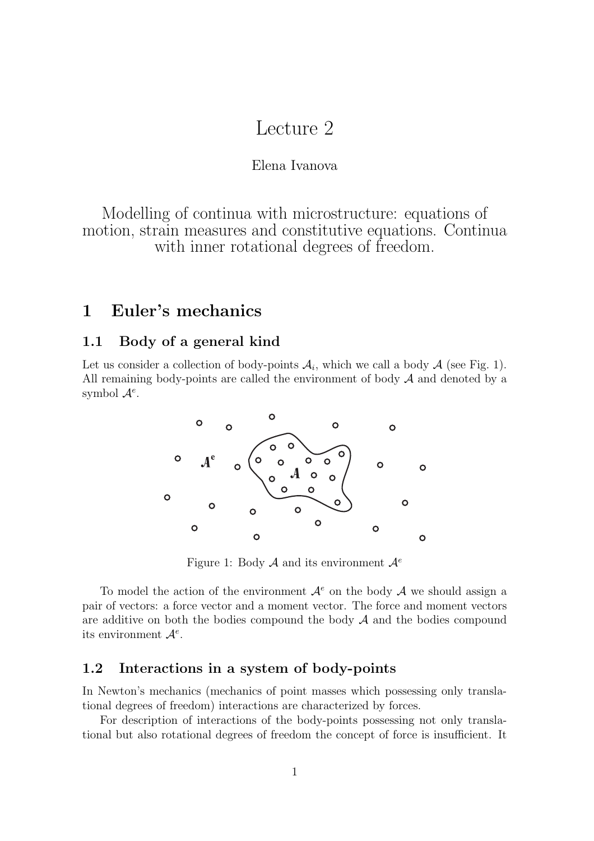# Lecture 2

#### Elena Ivanova

Modelling of continua with microstructure: equations of motion, strain measures and constitutive equations. Continua with inner rotational degrees of freedom.

# **1 Euler's mechanics**

### **1.1 Body of a general kind**

Let us consider a collection of body-points  $A_i$ , which we call a body  $A$  (see Fig. 1). All remaining body-points are called the environment of body  $A$  and denoted by a symbol  $\mathcal{A}^e$ .



Figure 1: Body <sup>A</sup> and its environment <sup>A</sup>*<sup>e</sup>*

To model the action of the environment  $\mathcal{A}^e$  on the body  $\mathcal A$  we should assign a pair of vectors: a force vector and a moment vector. The force and moment vectors are additive on both the bodies compound the body  $A$  and the bodies compound its environment <sup>A</sup>*<sup>e</sup>*.

### **1.2 Interactions in a system of body-points**

In Newton's mechanics (mechanics of point masses which possessing only translational degrees of freedom) interactions are characterized by forces.

For description of interactions of the body-points possessing not only translational but also rotational degrees of freedom the concept of force is insufficient. It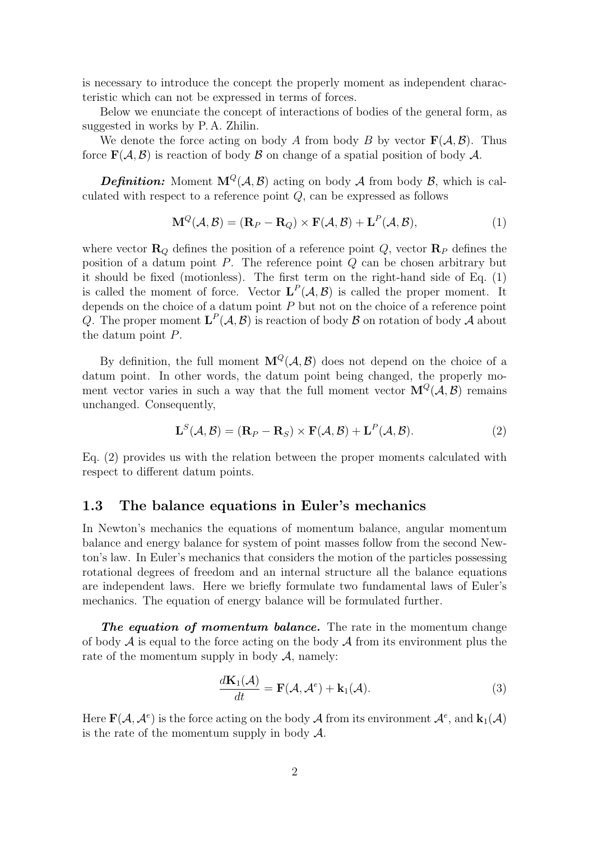is necessary to introduce the concept the properly moment as independent characteristic which can not be expressed in terms of forces.

Below we enunciate the concept of interactions of bodies of the general form, as suggested in works by P. A. Zhilin.

We denote the force acting on body A from body B by vector  $\mathbf{F}(\mathcal{A}, \mathcal{B})$ . Thus force  $\mathbf{F}(\mathcal{A}, \mathcal{B})$  is reaction of body  $\mathcal{B}$  on change of a spatial position of body  $\mathcal{A}$ .

**Definition:** Moment  $M^Q(A, \mathcal{B})$  acting on body A from body B, which is calculated with respect to a reference point  $Q$ , can be expressed as follows

$$
\mathbf{M}^{Q}(\mathcal{A}, \mathcal{B}) = (\mathbf{R}_{P} - \mathbf{R}_{Q}) \times \mathbf{F}(\mathcal{A}, \mathcal{B}) + \mathbf{L}^{P}(\mathcal{A}, \mathcal{B}),
$$
\n(1)

where vector  $\mathbf{R}_Q$  defines the position of a reference point  $Q$ , vector  $\mathbf{R}_P$  defines the position of a datum point  $P$ . The reference point  $Q$  can be chosen arbitrary but it should be fixed (motionless). The first term on the right-hand side of Eq. (1) is called the moment of force. Vector  $L^P(\mathcal{A}, \mathcal{B})$  is called the proper moment. It depends on the choice of a datum point  $P$  but not on the choice of a reference point Q. The proper moment  $\mathbf{L}^P(\mathcal{A}, \mathcal{B})$  is reaction of body  $\mathcal{B}$  on rotation of body  $\mathcal{A}$  about the datum point P.

By definition, the full moment  $\mathbf{M}^Q(\mathcal{A}, \mathcal{B})$  does not depend on the choice of a datum point. In other words, the datum point being changed, the properly moment vector varies in such a way that the full moment vector  $\mathbf{M}^Q(\mathcal{A}, \mathcal{B})$  remains unchanged. Consequently,

$$
\mathbf{L}^{S}(\mathcal{A}, \mathcal{B}) = (\mathbf{R}_{P} - \mathbf{R}_{S}) \times \mathbf{F}(\mathcal{A}, \mathcal{B}) + \mathbf{L}^{P}(\mathcal{A}, \mathcal{B}).
$$
\n(2)

Eq. (2) provides us with the relation between the proper moments calculated with respect to different datum points.

#### **1.3 The balance equations in Euler's mechanics**

In Newton's mechanics the equations of momentum balance, angular momentum balance and energy balance for system of point masses follow from the second Newton's law. In Euler's mechanics that considers the motion of the particles possessing rotational degrees of freedom and an internal structure all the balance equations are independent laws. Here we briefly formulate two fundamental laws of Euler's mechanics. The equation of energy balance will be formulated further.

*The equation of momentum balance.* The rate in the momentum change of body  $\mathcal A$  is equal to the force acting on the body  $\mathcal A$  from its environment plus the rate of the momentum supply in body  $A$ , namely:

$$
\frac{d\mathbf{K}_1(\mathcal{A})}{dt} = \mathbf{F}(\mathcal{A}, \mathcal{A}^e) + \mathbf{k}_1(\mathcal{A}).
$$
\n(3)

Here  $\mathbf{F}(\mathcal{A}, \mathcal{A}^e)$  is the force acting on the body A from its environment  $\mathcal{A}^e$ , and  $\mathbf{k}_1(\mathcal{A})$ is the rate of the momentum supply in body  $\mathcal{A}$ .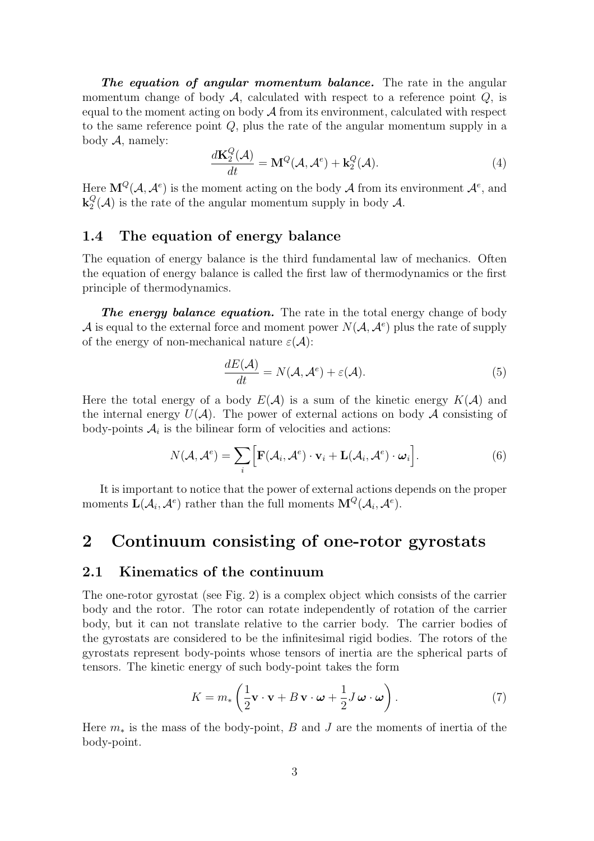*The equation of angular momentum balance.* The rate in the angular momentum change of body  $A$ , calculated with respect to a reference point  $Q$ , is equal to the moment acting on body  $A$  from its environment, calculated with respect to the same reference point Q, plus the rate of the angular momentum supply in a body  $A$ , namely:

$$
\frac{d\mathbf{K}_2^Q(\mathcal{A})}{dt} = \mathbf{M}^Q(\mathcal{A}, \mathcal{A}^e) + \mathbf{k}_2^Q(\mathcal{A}).\tag{4}
$$

Here  $\mathbf{M}^Q(\mathcal{A}, \mathcal{A}^e)$  is the moment acting on the body  $\mathcal{A}$  from its environment  $\mathcal{A}^e$ , and  $\mathbf{k}_2^Q(\mathcal{A})$  is the rate of the angular momentum supply in body  $\mathcal{A}$ .

# **1.4 The equation of energy balance**

The equation of energy balance is the third fundamental law of mechanics. Often the equation of energy balance is called the first law of thermodynamics or the first principle of thermodynamics.

*The energy balance equation.* The rate in the total energy change of body A is equal to the external force and moment power  $N(\mathcal{A}, \mathcal{A}^e)$  plus the rate of supply of the energy of non-mechanical nature  $\varepsilon(\mathcal{A})$ :

$$
\frac{dE(\mathcal{A})}{dt} = N(\mathcal{A}, \mathcal{A}^e) + \varepsilon(\mathcal{A}).
$$
\n(5)

Here the total energy of a body  $E(\mathcal{A})$  is a sum of the kinetic energy  $K(\mathcal{A})$  and the internal energy  $U(\mathcal{A})$ . The power of external actions on body  $\mathcal A$  consisting of body-points  $A_i$  is the bilinear form of velocities and actions:

$$
N(\mathcal{A}, \mathcal{A}^e) = \sum_{i} \Big[ \mathbf{F}(\mathcal{A}_i, \mathcal{A}^e) \cdot \mathbf{v}_i + \mathbf{L}(\mathcal{A}_i, \mathcal{A}^e) \cdot \boldsymbol{\omega}_i \Big]. \tag{6}
$$

It is important to notice that the power of external actions depends on the proper moments  $\mathbf{L}(\mathcal{A}_i, \mathcal{A}^e)$  rather than the full moments  $\mathbf{M}^Q(\mathcal{A}_i, \mathcal{A}^e)$ .

# **2 Continuum consisting of one-rotor gyrostats**

#### **2.1 Kinematics of the continuum**

The one-rotor gyrostat (see Fig. 2) is a complex object which consists of the carrier body and the rotor. The rotor can rotate independently of rotation of the carrier body, but it can not translate relative to the carrier body. The carrier bodies of the gyrostats are considered to be the infinitesimal rigid bodies. The rotors of the gyrostats represent body-points whose tensors of inertia are the spherical parts of tensors. The kinetic energy of such body-point takes the form

$$
K = m_* \left( \frac{1}{2} \mathbf{v} \cdot \mathbf{v} + B \mathbf{v} \cdot \boldsymbol{\omega} + \frac{1}{2} J \boldsymbol{\omega} \cdot \boldsymbol{\omega} \right).
$$
 (7)

Here  $m_*$  is the mass of the body-point, B and J are the moments of inertia of the body-point.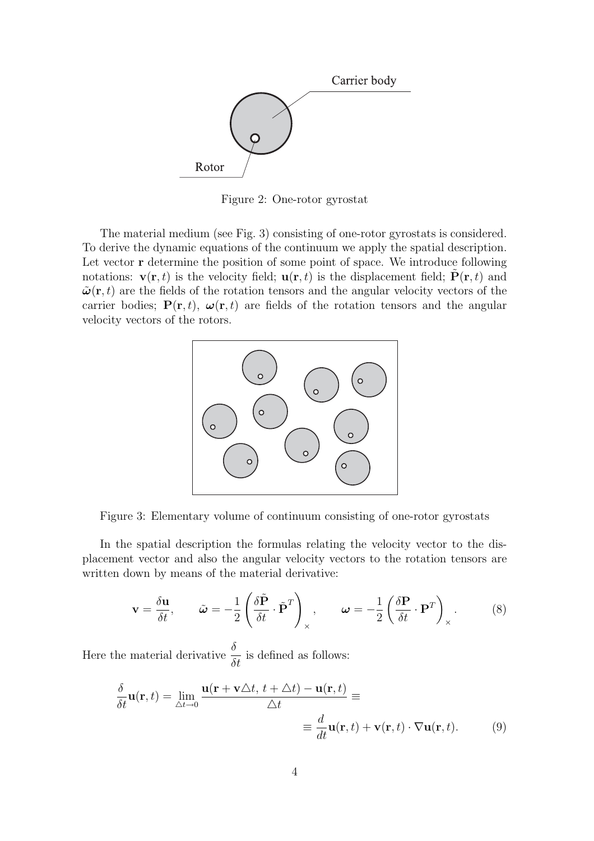

Figure 2: One-rotor gyrostat

The material medium (see Fig. 3) consisting of one-rotor gyrostats is considered. To derive the dynamic equations of the continuum we apply the spatial description. Let vector **r** determine the position of some point of space. We introduce following notations:  $\mathbf{v}(\mathbf{r}, t)$  is the velocity field;  $\mathbf{u}(\mathbf{r}, t)$  is the displacement field;  $\mathbf{P}(\mathbf{r}, t)$  and  $\tilde{\boldsymbol{\omega}}(\mathbf{r},t)$  are the fields of the rotation tensors and the angular velocity vectors of the carrier bodies;  $P(\mathbf{r}, t)$ ,  $\boldsymbol{\omega}(\mathbf{r}, t)$  are fields of the rotation tensors and the angular velocity vectors of the rotors.



Figure 3: Elementary volume of continuum consisting of one-rotor gyrostats

In the spatial description the formulas relating the velocity vector to the displacement vector and also the angular velocity vectors to the rotation tensors are written down by means of the material derivative:

$$
\mathbf{v} = \frac{\delta \mathbf{u}}{\delta t}, \qquad \tilde{\boldsymbol{\omega}} = -\frac{1}{2} \left( \frac{\delta \tilde{\mathbf{P}}}{\delta t} \cdot \tilde{\mathbf{P}}^T \right)_{\times}, \qquad \boldsymbol{\omega} = -\frac{1}{2} \left( \frac{\delta \mathbf{P}}{\delta t} \cdot \mathbf{P}^T \right)_{\times}.
$$
 (8)

Here the material derivative  $\frac{\delta}{\delta t}$  is defined as follows:

$$
\frac{\delta}{\delta t}\mathbf{u}(\mathbf{r},t) = \lim_{\Delta t \to 0} \frac{\mathbf{u}(\mathbf{r} + \mathbf{v}\Delta t, t + \Delta t) - \mathbf{u}(\mathbf{r},t)}{\Delta t} \equiv
$$
\n
$$
\equiv \frac{d}{dt}\mathbf{u}(\mathbf{r},t) + \mathbf{v}(\mathbf{r},t) \cdot \nabla \mathbf{u}(\mathbf{r},t). \tag{9}
$$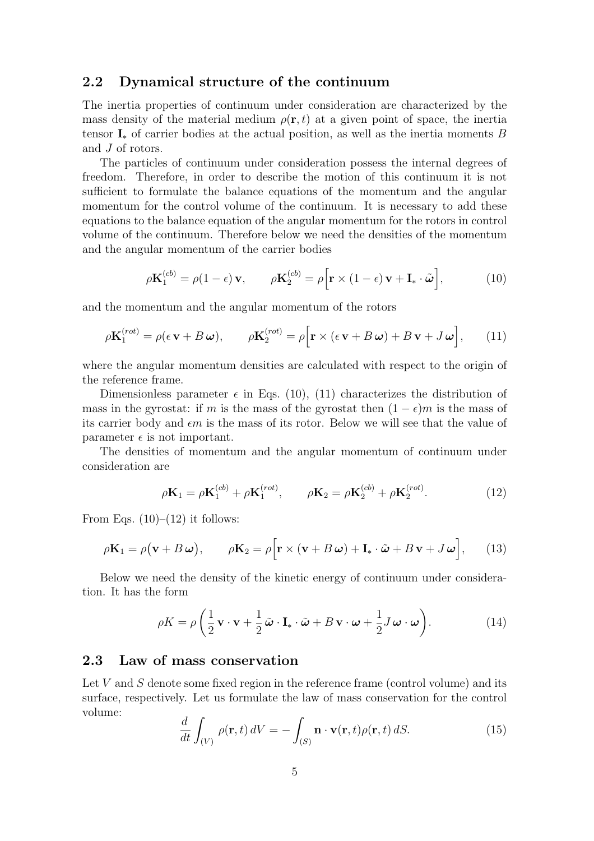### **2.2 Dynamical structure of the continuum**

The inertia properties of continuum under consideration are characterized by the mass density of the material medium  $\rho(\mathbf{r},t)$  at a given point of space, the inertia tensor  $\mathbf{I}_*$  of carrier bodies at the actual position, as well as the inertia moments B and J of rotors.

The particles of continuum under consideration possess the internal degrees of freedom. Therefore, in order to describe the motion of this continuum it is not sufficient to formulate the balance equations of the momentum and the angular momentum for the control volume of the continuum. It is necessary to add these equations to the balance equation of the angular momentum for the rotors in control volume of the continuum. Therefore below we need the densities of the momentum and the angular momentum of the carrier bodies

$$
\rho \mathbf{K}_1^{(cb)} = \rho (1 - \epsilon) \mathbf{v}, \qquad \rho \mathbf{K}_2^{(cb)} = \rho \Big[ \mathbf{r} \times (1 - \epsilon) \mathbf{v} + \mathbf{I}_* \cdot \tilde{\boldsymbol{\omega}} \Big], \tag{10}
$$

and the momentum and the angular momentum of the rotors

$$
\rho \mathbf{K}_1^{(rot)} = \rho (\epsilon \mathbf{v} + B \boldsymbol{\omega}), \qquad \rho \mathbf{K}_2^{(rot)} = \rho \Big[ \mathbf{r} \times (\epsilon \mathbf{v} + B \boldsymbol{\omega}) + B \mathbf{v} + J \boldsymbol{\omega} \Big], \qquad (11)
$$

where the angular momentum densities are calculated with respect to the origin of the reference frame.

Dimensionless parameter  $\epsilon$  in Eqs. (10), (11) characterizes the distribution of mass in the gyrostat: if m is the mass of the gyrostat then  $(1 - \epsilon)m$  is the mass of its carrier body and  $\epsilon m$  is the mass of its rotor. Below we will see that the value of parameter  $\epsilon$  is not important.

The densities of momentum and the angular momentum of continuum under consideration are

$$
\rho \mathbf{K}_1 = \rho \mathbf{K}_1^{(cb)} + \rho \mathbf{K}_1^{(rot)}, \qquad \rho \mathbf{K}_2 = \rho \mathbf{K}_2^{(cb)} + \rho \mathbf{K}_2^{(rot)}.
$$
 (12)

From Eqs.  $(10)–(12)$  it follows:

$$
\rho \mathbf{K}_1 = \rho (\mathbf{v} + B \boldsymbol{\omega}), \qquad \rho \mathbf{K}_2 = \rho \Big[ \mathbf{r} \times (\mathbf{v} + B \boldsymbol{\omega}) + \mathbf{I}_* \cdot \tilde{\boldsymbol{\omega}} + B \mathbf{v} + J \boldsymbol{\omega} \Big], \qquad (13)
$$

Below we need the density of the kinetic energy of continuum under consideration. It has the form

$$
\rho K = \rho \left( \frac{1}{2} \mathbf{v} \cdot \mathbf{v} + \frac{1}{2} \tilde{\boldsymbol{\omega}} \cdot \mathbf{I}_* \cdot \tilde{\boldsymbol{\omega}} + B \mathbf{v} \cdot \boldsymbol{\omega} + \frac{1}{2} J \boldsymbol{\omega} \cdot \boldsymbol{\omega} \right).
$$
 (14)

#### **2.3 Law of mass conservation**

Let V and S denote some fixed region in the reference frame (control volume) and its surface, respectively. Let us formulate the law of mass conservation for the control volume:

$$
\frac{d}{dt} \int_{(V)} \rho(\mathbf{r}, t) dV = - \int_{(S)} \mathbf{n} \cdot \mathbf{v}(\mathbf{r}, t) \rho(\mathbf{r}, t) dS.
$$
 (15)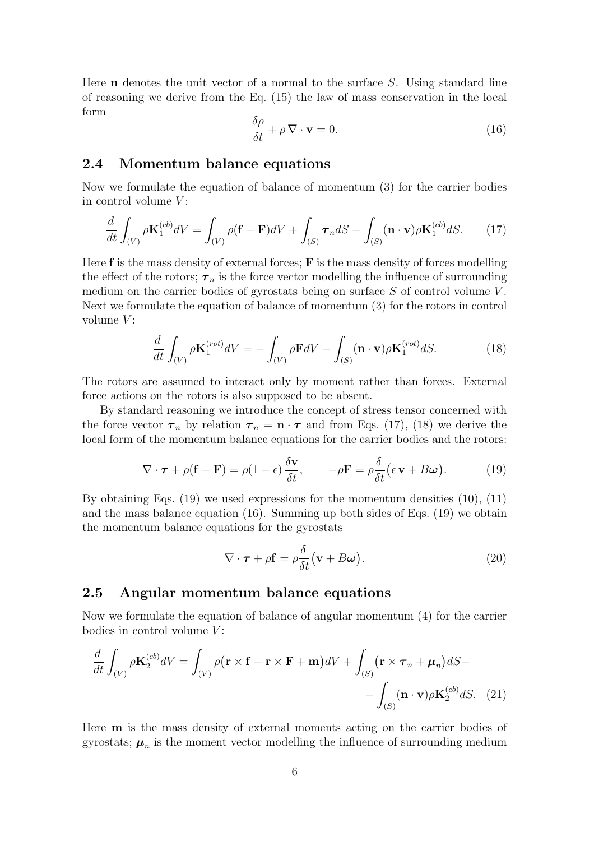Here **n** denotes the unit vector of a normal to the surface S. Using standard line of reasoning we derive from the Eq. (15) the law of mass conservation in the local form

$$
\frac{\delta \rho}{\delta t} + \rho \nabla \cdot \mathbf{v} = 0.
$$
 (16)

#### **2.4 Momentum balance equations**

Now we formulate the equation of balance of momentum (3) for the carrier bodies in control volume  $V$ :

$$
\frac{d}{dt} \int_{(V)} \rho \mathbf{K}_1^{(cb)} dV = \int_{(V)} \rho(\mathbf{f} + \mathbf{F}) dV + \int_{(S)} \boldsymbol{\tau}_n dS - \int_{(S)} (\mathbf{n} \cdot \mathbf{v}) \rho \mathbf{K}_1^{(cb)} dS. \tag{17}
$$

Here **f** is the mass density of external forces; **F** is the mass density of forces modelling the effect of the rotors;  $\tau_n$  is the force vector modelling the influence of surrounding medium on the carrier bodies of gyrostats being on surface  $S$  of control volume  $V$ . Next we formulate the equation of balance of momentum (3) for the rotors in control volume  $V$ :

$$
\frac{d}{dt} \int_{(V)} \rho \mathbf{K}_1^{(rot)} dV = -\int_{(V)} \rho \mathbf{F} dV - \int_{(S)} (\mathbf{n} \cdot \mathbf{v}) \rho \mathbf{K}_1^{(rot)} dS.
$$
 (18)

The rotors are assumed to interact only by moment rather than forces. External force actions on the rotors is also supposed to be absent.

By standard reasoning we introduce the concept of stress tensor concerned with the force vector  $\tau_n$  by relation  $\tau_n = \mathbf{n} \cdot \tau$  and from Eqs. (17), (18) we derive the local form of the momentum balance equations for the carrier bodies and the rotors:

$$
\nabla \cdot \boldsymbol{\tau} + \rho (\mathbf{f} + \mathbf{F}) = \rho (1 - \epsilon) \frac{\delta \mathbf{v}}{\delta t}, \qquad -\rho \mathbf{F} = \rho \frac{\delta}{\delta t} (\epsilon \mathbf{v} + B \boldsymbol{\omega}). \tag{19}
$$

By obtaining Eqs.  $(19)$  we used expressions for the momentum densities  $(10)$ ,  $(11)$ and the mass balance equation (16). Summing up both sides of Eqs. (19) we obtain the momentum balance equations for the gyrostats

$$
\nabla \cdot \boldsymbol{\tau} + \rho \mathbf{f} = \rho \frac{\delta}{\delta t} (\mathbf{v} + B\boldsymbol{\omega}). \tag{20}
$$

#### **2.5 Angular momentum balance equations**

Now we formulate the equation of balance of angular momentum (4) for the carrier bodies in control volume  $V$ :

$$
\frac{d}{dt} \int_{(V)} \rho \mathbf{K}_2^{(cb)} dV = \int_{(V)} \rho (\mathbf{r} \times \mathbf{f} + \mathbf{r} \times \mathbf{F} + \mathbf{m}) dV + \int_{(S)} (\mathbf{r} \times \boldsymbol{\tau}_n + \boldsymbol{\mu}_n) dS -
$$

$$
- \int_{(S)} (\mathbf{n} \cdot \mathbf{v}) \rho \mathbf{K}_2^{(cb)} dS. \quad (21)
$$

Here **m** is the mass density of external moments acting on the carrier bodies of gyrostats;  $\mu_n$  is the moment vector modelling the influence of surrounding medium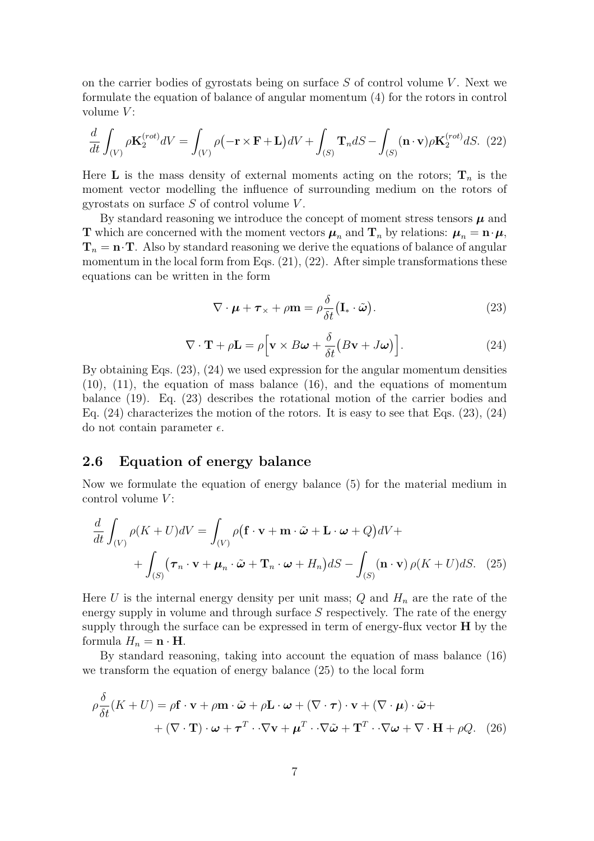on the carrier bodies of gyrostats being on surface  $S$  of control volume V. Next we formulate the equation of balance of angular momentum (4) for the rotors in control volume  $V$ :

$$
\frac{d}{dt} \int_{(V)} \rho \mathbf{K}_2^{(rot)} dV = \int_{(V)} \rho \left( -\mathbf{r} \times \mathbf{F} + \mathbf{L} \right) dV + \int_{(S)} \mathbf{T}_n dS - \int_{(S)} (\mathbf{n} \cdot \mathbf{v}) \rho \mathbf{K}_2^{(rot)} dS. \tag{22}
$$

Here **L** is the mass density of external moments acting on the rotors;  $\mathbf{T}_n$  is the moment vector modelling the influence of surrounding medium on the rotors of gyrostats on surface  $S$  of control volume  $V$ .

By standard reasoning we introduce the concept of moment stress tensors  $\mu$  and **T** which are concerned with the moment vectors  $\mu_n$  and  $\mathbf{T}_n$  by relations:  $\mu_n = \mathbf{n} \cdot \mu$ ,  $\mathbf{T}_n = \mathbf{n} \cdot \mathbf{T}$ . Also by standard reasoning we derive the equations of balance of angular momentum in the local form from Eqs.  $(21)$ ,  $(22)$ . After simple transformations these equations can be written in the form

$$
\nabla \cdot \boldsymbol{\mu} + \boldsymbol{\tau}_{\times} + \rho \mathbf{m} = \rho \frac{\delta}{\delta t} (\mathbf{I}_{*} \cdot \tilde{\boldsymbol{\omega}}).
$$
 (23)

$$
\nabla \cdot \mathbf{T} + \rho \mathbf{L} = \rho \Big[ \mathbf{v} \times B \boldsymbol{\omega} + \frac{\delta}{\delta t} \big( B \mathbf{v} + J \boldsymbol{\omega} \big) \Big]. \tag{24}
$$

By obtaining Eqs. (23), (24) we used expression for the angular momentum densities (10), (11), the equation of mass balance (16), and the equations of momentum balance (19). Eq. (23) describes the rotational motion of the carrier bodies and Eq. (24) characterizes the motion of the rotors. It is easy to see that Eqs. (23), (24) do not contain parameter  $\epsilon$ .

#### **2.6 Equation of energy balance**

Now we formulate the equation of energy balance (5) for the material medium in control volume  $V$ :

$$
\frac{d}{dt} \int_{(V)} \rho(K+U)dV = \int_{(V)} \rho(\mathbf{f} \cdot \mathbf{v} + \mathbf{m} \cdot \tilde{\boldsymbol{\omega}} + \mathbf{L} \cdot \boldsymbol{\omega} + Q)dV +
$$

$$
+ \int_{(S)} (\boldsymbol{\tau}_n \cdot \mathbf{v} + \boldsymbol{\mu}_n \cdot \tilde{\boldsymbol{\omega}} + \mathbf{T}_n \cdot \boldsymbol{\omega} + H_n)dS - \int_{(S)} (\mathbf{n} \cdot \mathbf{v}) \rho(K+U)dS. \tag{25}
$$

Here U is the internal energy density per unit mass;  $Q$  and  $H_n$  are the rate of the energy supply in volume and through surface  $S$  respectively. The rate of the energy supply through the surface can be expressed in term of energy-flux vector **H** by the formula  $H_n = \mathbf{n} \cdot \mathbf{H}$ .

By standard reasoning, taking into account the equation of mass balance (16) we transform the equation of energy balance (25) to the local form

$$
\rho \frac{\delta}{\delta t}(K+U) = \rho \mathbf{f} \cdot \mathbf{v} + \rho \mathbf{m} \cdot \tilde{\boldsymbol{\omega}} + \rho \mathbf{L} \cdot \boldsymbol{\omega} + (\nabla \cdot \boldsymbol{\tau}) \cdot \mathbf{v} + (\nabla \cdot \boldsymbol{\mu}) \cdot \tilde{\boldsymbol{\omega}} +
$$
  
+ 
$$
(\nabla \cdot \mathbf{T}) \cdot \boldsymbol{\omega} + \boldsymbol{\tau}^T \cdot \nabla \mathbf{v} + \boldsymbol{\mu}^T \cdot \nabla \tilde{\boldsymbol{\omega}} + \mathbf{T}^T \cdot \nabla \boldsymbol{\omega} + \nabla \cdot \mathbf{H} + \rho Q. \quad (26)
$$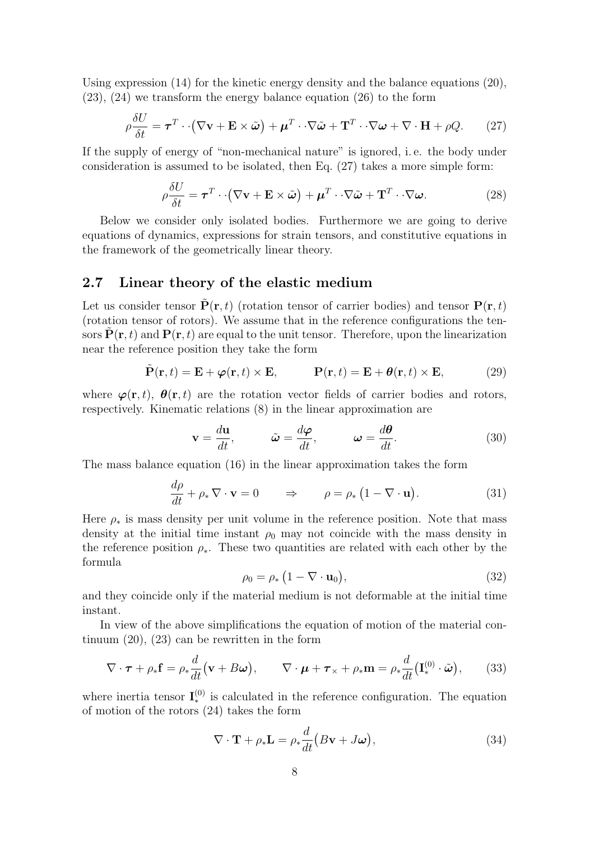Using expression (14) for the kinetic energy density and the balance equations (20), (23), (24) we transform the energy balance equation (26) to the form

$$
\rho \frac{\delta U}{\delta t} = \boldsymbol{\tau}^T \cdot \left( \nabla \mathbf{v} + \mathbf{E} \times \tilde{\boldsymbol{\omega}} \right) + \boldsymbol{\mu}^T \cdot \nabla \tilde{\boldsymbol{\omega}} + \mathbf{T}^T \cdot \nabla \boldsymbol{\omega} + \nabla \cdot \mathbf{H} + \rho Q. \qquad (27)
$$

If the supply of energy of "non-mechanical nature" is ignored, i. e. the body under consideration is assumed to be isolated, then Eq. (27) takes a more simple form:

$$
\rho \frac{\delta U}{\delta t} = \boldsymbol{\tau}^T \cdot (\nabla \mathbf{v} + \mathbf{E} \times \tilde{\boldsymbol{\omega}}) + \boldsymbol{\mu}^T \cdot \nabla \tilde{\boldsymbol{\omega}} + \mathbf{T}^T \cdot \nabla \boldsymbol{\omega}.
$$
 (28)

Below we consider only isolated bodies. Furthermore we are going to derive equations of dynamics, expressions for strain tensors, and constitutive equations in the framework of the geometrically linear theory.

#### **2.7 Linear theory of the elastic medium**

Let us consider tensor  $P(\mathbf{r}, t)$  (rotation tensor of carrier bodies) and tensor  $P(\mathbf{r}, t)$ (rotation tensor of rotors). We assume that in the reference configurations the tensors  $\mathbf{P}(\mathbf{r},t)$  and  $\mathbf{P}(\mathbf{r},t)$  are equal to the unit tensor. Therefore, upon the linearization near the reference position they take the form

$$
\tilde{\mathbf{P}}(\mathbf{r},t) = \mathbf{E} + \boldsymbol{\varphi}(\mathbf{r},t) \times \mathbf{E}, \qquad \mathbf{P}(\mathbf{r},t) = \mathbf{E} + \boldsymbol{\theta}(\mathbf{r},t) \times \mathbf{E}, \tag{29}
$$

where  $\varphi(\mathbf{r},t)$ ,  $\theta(\mathbf{r},t)$  are the rotation vector fields of carrier bodies and rotors, respectively. Kinematic relations (8) in the linear approximation are

$$
\mathbf{v} = \frac{d\mathbf{u}}{dt}, \qquad \tilde{\boldsymbol{\omega}} = \frac{d\boldsymbol{\varphi}}{dt}, \qquad \boldsymbol{\omega} = \frac{d\boldsymbol{\theta}}{dt}.
$$
 (30)

The mass balance equation (16) in the linear approximation takes the form

$$
\frac{d\rho}{dt} + \rho_* \nabla \cdot \mathbf{v} = 0 \qquad \Rightarrow \qquad \rho = \rho_* \left( 1 - \nabla \cdot \mathbf{u} \right). \tag{31}
$$

Here  $\rho_*$  is mass density per unit volume in the reference position. Note that mass density at the initial time instant  $\rho_0$  may not coincide with the mass density in the reference position  $\rho_*$ . These two quantities are related with each other by the formula

$$
\rho_0 = \rho_* \left( 1 - \nabla \cdot \mathbf{u}_0 \right),\tag{32}
$$

and they coincide only if the material medium is not deformable at the initial time instant.

In view of the above simplifications the equation of motion of the material continuum (20), (23) can be rewritten in the form

$$
\nabla \cdot \boldsymbol{\tau} + \rho_* \mathbf{f} = \rho_* \frac{d}{dt} (\mathbf{v} + B\boldsymbol{\omega}), \qquad \nabla \cdot \boldsymbol{\mu} + \boldsymbol{\tau}_* + \rho_* \mathbf{m} = \rho_* \frac{d}{dt} (\mathbf{I}^{(0)}_* \cdot \tilde{\boldsymbol{\omega}}), \qquad (33)
$$

where inertia tensor  $\mathbf{I}_{*}^{(0)}$  is calculated in the reference configuration. The equation of motion of the rotors (24) takes the form

$$
\nabla \cdot \mathbf{T} + \rho_* \mathbf{L} = \rho_* \frac{d}{dt} (B\mathbf{v} + J\boldsymbol{\omega}), \qquad (34)
$$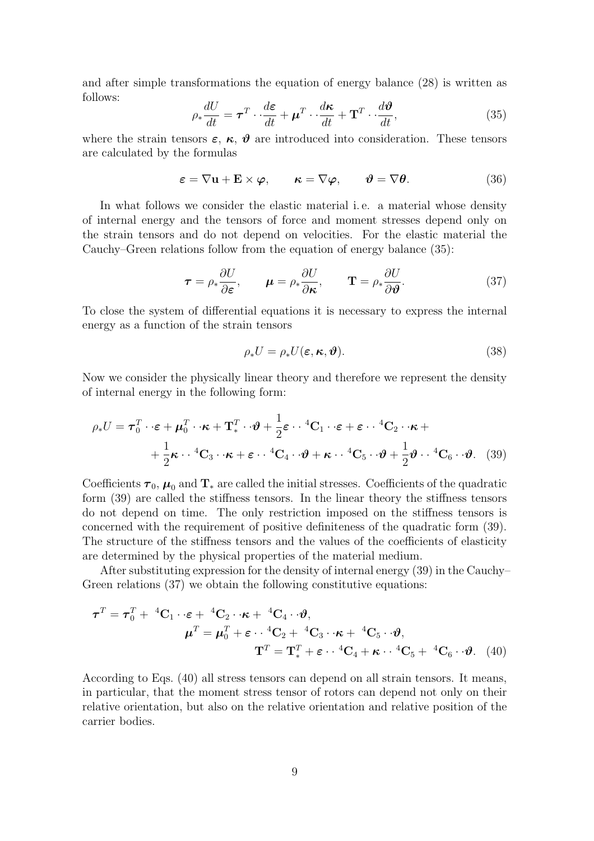and after simple transformations the equation of energy balance (28) is written as follows:

$$
\rho_* \frac{dU}{dt} = \boldsymbol{\tau}^T \cdot \frac{d\boldsymbol{\varepsilon}}{dt} + \boldsymbol{\mu}^T \cdot \frac{d\boldsymbol{\kappa}}{dt} + \mathbf{T}^T \cdot \frac{d\boldsymbol{\vartheta}}{dt},\tag{35}
$$

where the strain tensors  $\varepsilon$ ,  $\kappa$ ,  $\vartheta$  are introduced into consideration. These tensors are calculated by the formulas

$$
\boldsymbol{\varepsilon} = \nabla \mathbf{u} + \mathbf{E} \times \boldsymbol{\varphi}, \qquad \boldsymbol{\kappa} = \nabla \boldsymbol{\varphi}, \qquad \boldsymbol{\vartheta} = \nabla \boldsymbol{\theta}.
$$
 (36)

In what follows we consider the elastic material i. e. a material whose density of internal energy and the tensors of force and moment stresses depend only on the strain tensors and do not depend on velocities. For the elastic material the Cauchy–Green relations follow from the equation of energy balance (35):

$$
\boldsymbol{\tau} = \rho_* \frac{\partial U}{\partial \boldsymbol{\varepsilon}}, \qquad \boldsymbol{\mu} = \rho_* \frac{\partial U}{\partial \boldsymbol{\kappa}}, \qquad \mathbf{T} = \rho_* \frac{\partial U}{\partial \boldsymbol{\vartheta}}.
$$
 (37)

To close the system of differential equations it is necessary to express the internal energy as a function of the strain tensors

$$
\rho_* U = \rho_* U(\boldsymbol{\varepsilon}, \boldsymbol{\kappa}, \boldsymbol{\vartheta}). \tag{38}
$$

Now we consider the physically linear theory and therefore we represent the density of internal energy in the following form:

$$
\rho_* U = \boldsymbol{\tau}_0^T \cdot \boldsymbol{\epsilon} + \boldsymbol{\mu}_0^T \cdot \boldsymbol{\kappa} + \mathbf{T}_*^T \cdot \boldsymbol{\vartheta} + \frac{1}{2} \boldsymbol{\epsilon} \cdot \boldsymbol{\vartheta} + \mathbf{C}_1 \cdot \boldsymbol{\epsilon} + \boldsymbol{\epsilon} \cdot \boldsymbol{\vartheta} + \mathbf{C}_2 \cdot \boldsymbol{\kappa} + \frac{1}{2} \boldsymbol{\kappa} \cdot \boldsymbol{\vartheta} + \mathbf{C}_3 \cdot \boldsymbol{\kappa} + \boldsymbol{\epsilon} \cdot \boldsymbol{\vartheta} + \mathbf{C}_4 \cdot \boldsymbol{\vartheta} + \boldsymbol{\kappa} \cdot \boldsymbol{\vartheta} + \frac{1}{2} \boldsymbol{\vartheta} \cdot \boldsymbol{\vartheta} + \frac{1}{2} \boldsymbol{\vartheta} \cdot \boldsymbol{\vartheta}.
$$
 (39)

Coefficients  $\tau_0$ ,  $\mu_0$  and  $\text{T}_{*}$  are called the initial stresses. Coefficients of the quadratic form (39) are called the stiffness tensors. In the linear theory the stiffness tensors do not depend on time. The only restriction imposed on the stiffness tensors is concerned with the requirement of positive definiteness of the quadratic form (39). The structure of the stiffness tensors and the values of the coefficients of elasticity are determined by the physical properties of the material medium.

After substituting expression for the density of internal energy (39) in the Cauchy– Green relations (37) we obtain the following constitutive equations:

$$
\boldsymbol{\tau}^T = \boldsymbol{\tau}_0^T + {}^{4}\mathbf{C}_1 \cdot \boldsymbol{\epsilon} + {}^{4}\mathbf{C}_2 \cdot \boldsymbol{\kappa} + {}^{4}\mathbf{C}_4 \cdot \boldsymbol{\vartheta},
$$

$$
\boldsymbol{\mu}^T = \boldsymbol{\mu}_0^T + \boldsymbol{\epsilon} \cdot {}^{4}\mathbf{C}_2 + {}^{4}\mathbf{C}_3 \cdot \boldsymbol{\kappa} + {}^{4}\mathbf{C}_5 \cdot \boldsymbol{\vartheta},
$$

$$
\mathbf{T}^T = \mathbf{T}_*^T + \boldsymbol{\epsilon} \cdot {}^{4}\mathbf{C}_4 + \boldsymbol{\kappa} \cdot {}^{4}\mathbf{C}_5 + {}^{4}\mathbf{C}_6 \cdot \boldsymbol{\vartheta}. \tag{40}
$$

According to Eqs. (40) all stress tensors can depend on all strain tensors. It means, in particular, that the moment stress tensor of rotors can depend not only on their relative orientation, but also on the relative orientation and relative position of the carrier bodies.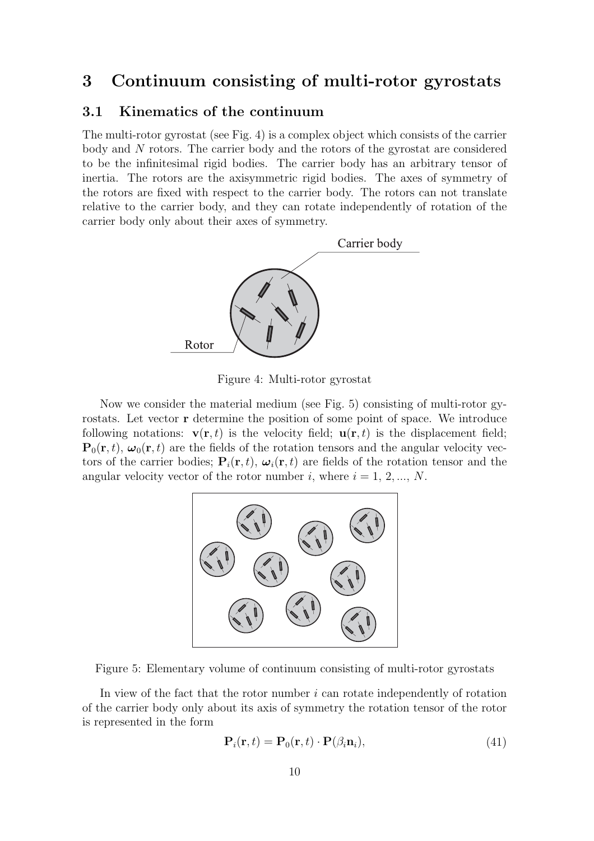# **3 Continuum consisting of multi-rotor gyrostats**

# **3.1 Kinematics of the continuum**

The multi-rotor gyrostat (see Fig. 4) is a complex object which consists of the carrier body and N rotors. The carrier body and the rotors of the gyrostat are considered to be the infinitesimal rigid bodies. The carrier body has an arbitrary tensor of inertia. The rotors are the axisymmetric rigid bodies. The axes of symmetry of the rotors are fixed with respect to the carrier body. The rotors can not translate relative to the carrier body, and they can rotate independently of rotation of the carrier body only about their axes of symmetry.



Figure 4: Multi-rotor gyrostat

Now we consider the material medium (see Fig. 5) consisting of multi-rotor gyrostats. Let vector **r** determine the position of some point of space. We introduce following notations:  $\mathbf{v}(\mathbf{r},t)$  is the velocity field;  $\mathbf{u}(\mathbf{r},t)$  is the displacement field;  ${\bf P}_0({\bf r}, t)$ ,  $\omega_0({\bf r}, t)$  are the fields of the rotation tensors and the angular velocity vectors of the carrier bodies;  $P_i(r, t)$ ,  $\omega_i(r, t)$  are fields of the rotation tensor and the angular velocity vector of the rotor number i, where  $i = 1, 2, ..., N$ .



Figure 5: Elementary volume of continuum consisting of multi-rotor gyrostats

In view of the fact that the rotor number  $i$  can rotate independently of rotation of the carrier body only about its axis of symmetry the rotation tensor of the rotor is represented in the form

$$
\mathbf{P}_i(\mathbf{r},t) = \mathbf{P}_0(\mathbf{r},t) \cdot \mathbf{P}(\beta_i \mathbf{n}_i), \tag{41}
$$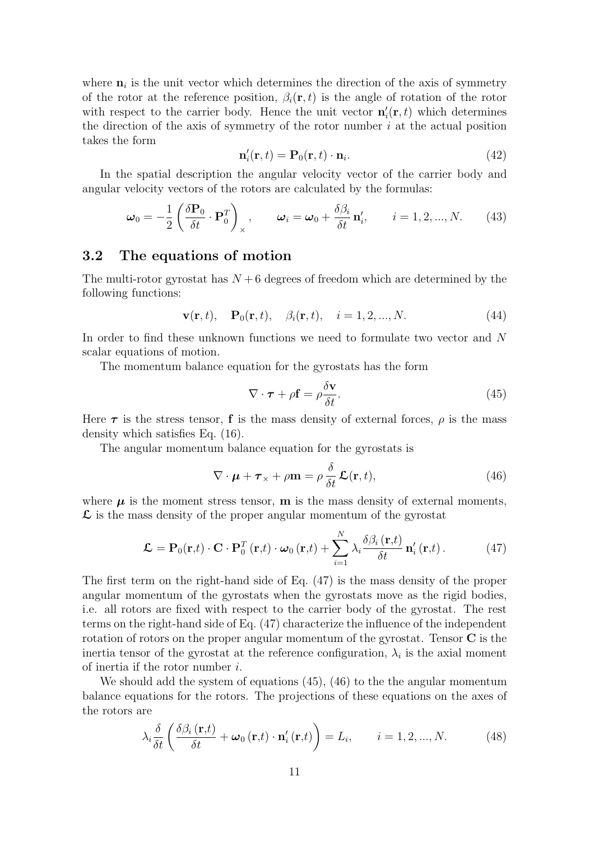where  $\mathbf{n}_i$  is the unit vector which determines the direction of the axis of symmetry of the rotor at the reference position,  $\beta_i(\mathbf{r}, t)$  is the angle of rotation of the rotor with respect to the carrier body. Hence the unit vector  $\mathbf{n}'_i(\mathbf{r},t)$  which determines the direction of the axis of symmetry of the rotor number  $i$  at the actual position takes the form

$$
\mathbf{n}'_i(\mathbf{r},t) = \mathbf{P}_0(\mathbf{r},t) \cdot \mathbf{n}_i. \tag{42}
$$

In the spatial description the angular velocity vector of the carrier body and angular velocity vectors of the rotors are calculated by the formulas:

$$
\boldsymbol{\omega}_0 = -\frac{1}{2} \left( \frac{\delta \mathbf{P}_0}{\delta t} \cdot \mathbf{P}_0^T \right)_{\times}, \qquad \boldsymbol{\omega}_i = \boldsymbol{\omega}_0 + \frac{\delta \beta_i}{\delta t} \mathbf{n}'_i, \qquad i = 1, 2, ..., N. \tag{43}
$$

#### **3.2 The equations of motion**

The multi-rotor gyrostat has  $N + 6$  degrees of freedom which are determined by the following functions:

$$
\mathbf{v}(\mathbf{r},t), \quad \mathbf{P}_0(\mathbf{r},t), \quad \beta_i(\mathbf{r},t), \quad i = 1, 2, ..., N. \tag{44}
$$

In order to find these unknown functions we need to formulate two vector and N scalar equations of motion.

The momentum balance equation for the gyrostats has the form

$$
\nabla \cdot \boldsymbol{\tau} + \rho \mathbf{f} = \rho \frac{\delta \mathbf{v}}{\delta t}.
$$
 (45)

Here  $\tau$  is the stress tensor, **f** is the mass density of external forces,  $\rho$  is the mass density which satisfies Eq. (16).

The angular momentum balance equation for the gyrostats is

$$
\nabla \cdot \boldsymbol{\mu} + \boldsymbol{\tau}_{\times} + \rho \mathbf{m} = \rho \frac{\delta}{\delta t} \mathcal{L}(\mathbf{r}, t), \qquad (46)
$$

where  $\mu$  is the moment stress tensor, **m** is the mass density of external moments, **L** is the mass density of the proper angular momentum of the gyrostat

$$
\mathcal{L} = \mathbf{P}_0(\mathbf{r},t) \cdot \mathbf{C} \cdot \mathbf{P}_0^T(\mathbf{r},t) \cdot \boldsymbol{\omega}_0(\mathbf{r},t) + \sum_{i=1}^N \lambda_i \frac{\delta \beta_i(\mathbf{r},t)}{\delta t} \mathbf{n}'_i(\mathbf{r},t).
$$
 (47)

The first term on the right-hand side of Eq. (47) is the mass density of the proper angular momentum of the gyrostats when the gyrostats move as the rigid bodies, i.e. all rotors are fixed with respect to the carrier body of the gyrostat. The rest terms on the right-hand side of Eq. (47) characterize the influence of the independent rotation of rotors on the proper angular momentum of the gyrostat. Tensor **C** is the inertia tensor of the gyrostat at the reference configuration,  $\lambda_i$  is the axial moment of inertia if the rotor number i.

We should add the system of equations (45), (46) to the the angular momentum balance equations for the rotors. The projections of these equations on the axes of the rotors are

$$
\lambda_i \frac{\delta}{\delta t} \left( \frac{\delta \beta_i(\mathbf{r},t)}{\delta t} + \boldsymbol{\omega}_0(\mathbf{r},t) \cdot \mathbf{n}'_i(\mathbf{r},t) \right) = L_i, \qquad i = 1, 2, ..., N. \tag{48}
$$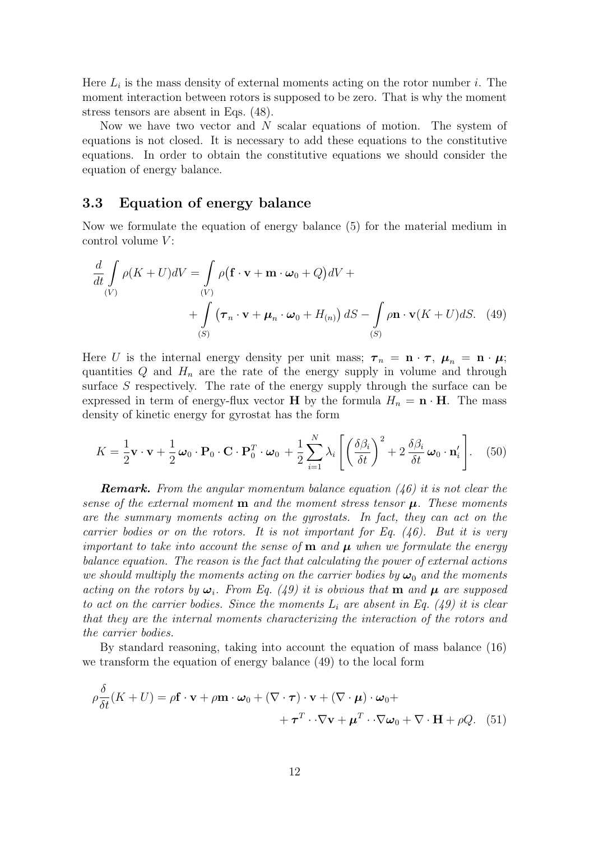Here  $L_i$  is the mass density of external moments acting on the rotor number i. The moment interaction between rotors is supposed to be zero. That is why the moment stress tensors are absent in Eqs. (48).

Now we have two vector and  $N$  scalar equations of motion. The system of equations is not closed. It is necessary to add these equations to the constitutive equations. In order to obtain the constitutive equations we should consider the equation of energy balance.

#### **3.3 Equation of energy balance**

Now we formulate the equation of energy balance (5) for the material medium in control volume  $V$ :

$$
\frac{d}{dt} \int_{(V)} \rho(K+U)dV = \int_{(V)} \rho(\mathbf{f} \cdot \mathbf{v} + \mathbf{m} \cdot \boldsymbol{\omega}_0 + Q)dV +
$$
  
+ 
$$
\int_{(S)} (\boldsymbol{\tau}_n \cdot \mathbf{v} + \boldsymbol{\mu}_n \cdot \boldsymbol{\omega}_0 + H_{(n)}) dS - \int_{(S)} \rho \mathbf{n} \cdot \mathbf{v}(K+U)dS.
$$
 (49)

Here U is the internal energy density per unit mass;  $\tau_n = \mathbf{n} \cdot \mathbf{r}$ ,  $\mu_n = \mathbf{n} \cdot \mu$ ; quantities  $Q$  and  $H_n$  are the rate of the energy supply in volume and through surface  $S$  respectively. The rate of the energy supply through the surface can be expressed in term of energy-flux vector **H** by the formula  $H_n = \mathbf{n} \cdot \mathbf{H}$ . The mass density of kinetic energy for gyrostat has the form

$$
K = \frac{1}{2}\mathbf{v}\cdot\mathbf{v} + \frac{1}{2}\boldsymbol{\omega}_0\cdot\mathbf{P}_0\cdot\mathbf{C}\cdot\mathbf{P}_0^T\cdot\boldsymbol{\omega}_0 + \frac{1}{2}\sum_{i=1}^N\lambda_i\left[\left(\frac{\delta\beta_i}{\delta t}\right)^2 + 2\frac{\delta\beta_i}{\delta t}\boldsymbol{\omega}_0\cdot\mathbf{n}_i'\right].
$$
 (50)

*Remark. From the angular momentum balance equation (46) it is not clear the sense of the external moment* **m** *and the moment stress tensor μ. These moments are the summary moments acting on the gyrostats. In fact, they can act on the carrier bodies or on the rotors. It is not important for Eq. (46). But it is very important to take into account the sense of* **m** *and μ when we formulate the energy balance equation. The reason is the fact that calculating the power of external actions we should multiply the moments acting on the carrier bodies by*  $\omega_0$  *and the moments acting on the rotors by*  $\omega_i$ *. From Eq. (49) it is obvious that* **m** *and*  $\mu$  *are supposed to act on the carrier bodies. Since the moments* L*<sup>i</sup> are absent in Eq. (49) it is clear that they are the internal moments characterizing the interaction of the rotors and the carrier bodies.*

By standard reasoning, taking into account the equation of mass balance (16) we transform the equation of energy balance (49) to the local form

$$
\rho \frac{\delta}{\delta t}(K+U) = \rho \mathbf{f} \cdot \mathbf{v} + \rho \mathbf{m} \cdot \boldsymbol{\omega}_0 + (\nabla \cdot \boldsymbol{\tau}) \cdot \mathbf{v} + (\nabla \cdot \boldsymbol{\mu}) \cdot \boldsymbol{\omega}_0 + + \boldsymbol{\tau}^T \cdot \nabla \mathbf{v} + \boldsymbol{\mu}^T \cdot \nabla \boldsymbol{\omega}_0 + \nabla \cdot \mathbf{H} + \rho Q. \quad (51)
$$